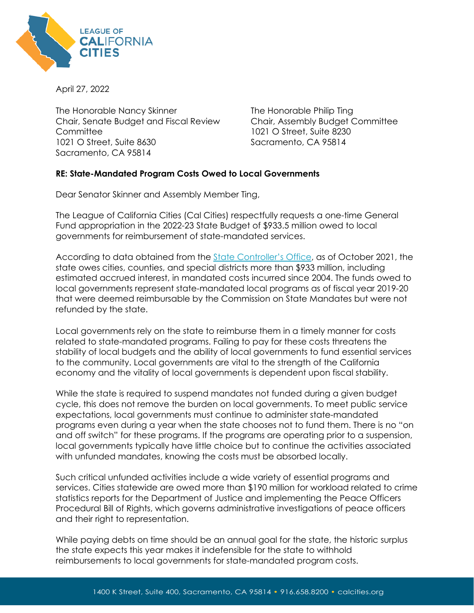

April 27, 2022

The Honorable Nancy Skinner Chair, Senate Budget and Fiscal Review **Committee** 1021 O Street, Suite 8630 Sacramento, CA 95814

The Honorable Philip Ting Chair, Assembly Budget Committee 1021 O Street, Suite 8230 Sacramento, CA 95814

## **RE: State-Mandated Program Costs Owed to Local Governments**

Dear Senator Skinner and Assembly Member Ting,

The League of California Cities (Cal Cities) respectfully requests a one-time General Fund appropriation in the 2022-23 State Budget of \$933.5 million owed to local governments for reimbursement of state-mandated services.

According to data obtained from the [State Controller's Office,](https://view.officeapps.live.com/op/view.aspx?src=https%3A%2F%2Fwww.sco.ca.gov%2FFiles-ARD-Local%2Fada_2021_state-mandated_ab3000reportletter.docx&wdOrigin=BROWSELINK) as of October 2021, the state owes cities, counties, and special districts more than \$933 million, including estimated accrued interest, in mandated costs incurred since 2004. The funds owed to local governments represent state-mandated local programs as of fiscal year 2019-20 that were deemed reimbursable by the Commission on State Mandates but were not refunded by the state.

Local governments rely on the state to reimburse them in a timely manner for costs related to state-mandated programs. Failing to pay for these costs threatens the stability of local budgets and the ability of local governments to fund essential services to the community. Local governments are vital to the strength of the California economy and the vitality of local governments is dependent upon fiscal stability.

While the state is required to suspend mandates not funded during a given budget cycle, this does not remove the burden on local governments. To meet public service expectations, local governments must continue to administer state-mandated programs even during a year when the state chooses not to fund them. There is no "on and off switch" for these programs. If the programs are operating prior to a suspension, local governments typically have little choice but to continue the activities associated with unfunded mandates, knowing the costs must be absorbed locally.

Such critical unfunded activities include a wide variety of essential programs and services. Cities statewide are owed more than \$190 million for workload related to crime statistics reports for the Department of Justice and implementing the Peace Officers Procedural Bill of Rights, which governs administrative investigations of peace officers and their right to representation.

While paying debts on time should be an annual goal for the state, the historic surplus the state expects this year makes it indefensible for the state to withhold reimbursements to local governments for state-mandated program costs.